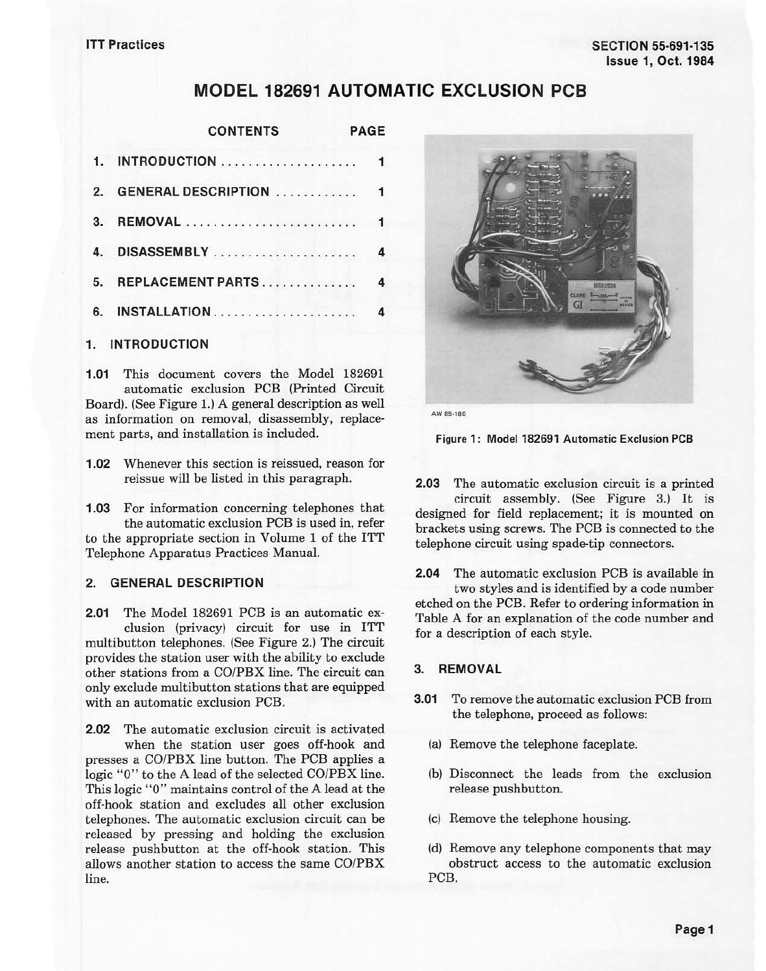# **MODEL 182691 AUTOMATIC EXCLUSION PCB**

|                | <b>CONTENTS</b><br><b>PAGE</b>   |  |  |
|----------------|----------------------------------|--|--|
| $\mathbf{1}$   |                                  |  |  |
| $\mathfrak{p}$ | <b>GENERAL DESCRIPTION </b><br>1 |  |  |
| 3              | 1                                |  |  |
|                | 4                                |  |  |
| 5.             | REPLACEMENT PARTS<br>4           |  |  |
| 6.             | INSTALLATION                     |  |  |
|                |                                  |  |  |

#### **1. INTRODUCTION**

**1.01** This document covers the Model 182691 automatic exclusion PCB (Printed Circuit Board). (See Figure 1.) A general description as well as information on removal, disassembly, replacement parts, and installation is included.

**1.02** Whenever this section is reissued, reason for reissue will be listed in this paragraph.

**1.03** For information concerning telephones that the automatic exclusion PCB is used in, refer to the appropriate section in Volume 1 of the ITT Telephone Apparatus Practices Manual.

#### **2. GENERAL DESCRIPTION**

**2.01** The Model 182691 PCB is an automatic exclusion (privacy) circuit for use in ITT multibutton telephones. (See Figure 2.) The circuit provides the station user with the ability *to* exclude other stations from a CO/PBX line. The circuit can only exclude multibutton stations that are equipped with an automatic exclusion PCB.

**2.02** The automatic exclusion circuit is activated when the station user goes off-hook and presses a CO/PBX line button. The PCB applies a logic "0" to the A lead of the selected CO/PBX line. This logic "O" maintains control of the A lead at the off-hook station and excludes all other exclusion telephones. The automatic exclusion circuit can be released by pressing and holding the exclusion release pushbutton at the off-hook station. This allows another station to access the same CO/PBX line.



**AWSS-180** 

Figure **1:** Model 182691 Automatic Exclusion **PCB** 

**2.03** The automatic exclusion circuit is a printed circuit assembly. (See Figure 3.) It is designed for field replacement; it is mounted on brackets using screws. The PCB is connected *to* the telephone circuit using spade-tip connectors.

**2.04** The automatic exclusion PCB is available in two styles and is identified by a code number etched on the PCB. Refer *to* ordering information in Table A for an explanation of the code number and for a description of each style.

#### **3. REMOVAL**

- **3.01** To remove the automatic exclusion PCB from the telephone, proceed as follows:
	- (a) Remove the telephone faceplate.
	- (b) Disconnect the leads from the exclusion release pushbutton.
	- (c) Remove the telephone housing.
	- (d) Remove any telephone components that may obstruct access to the automatic exclusion PCB.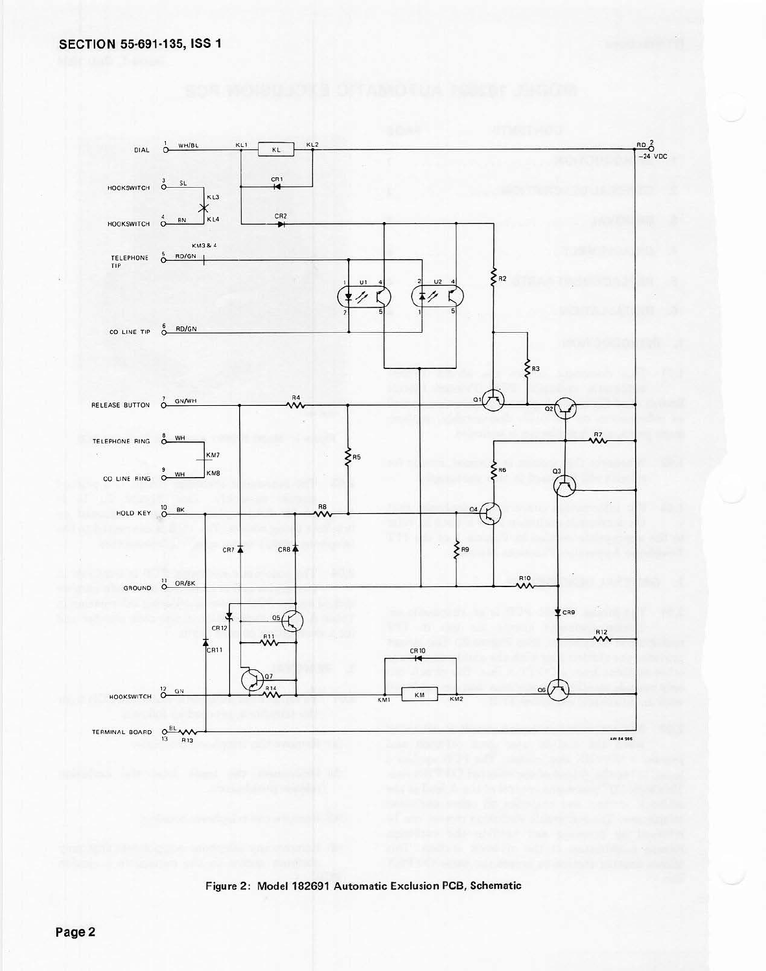

Figure 2: Model 182691 Automatic Exclusion PCB, Schematic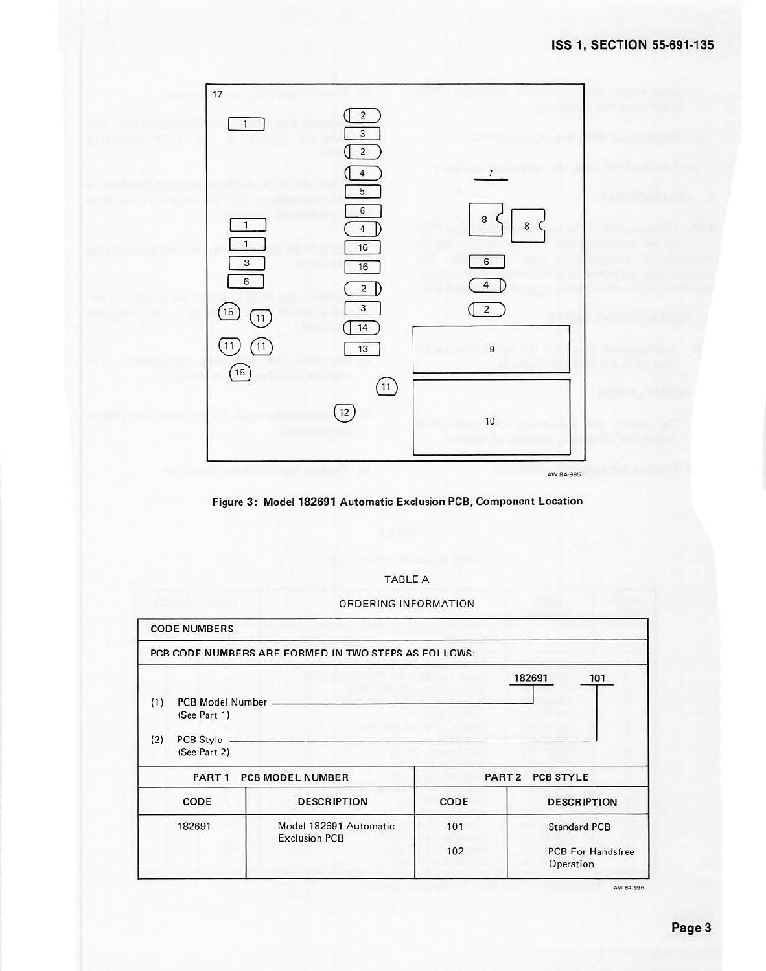

**Figure 3: Model 182691 Automatic Exclusion PCB, Component Location** 

| <b>TABLE A</b> |  |
|----------------|--|
|                |  |
|                |  |
|                |  |

ORDERING INFORMATION

|     | <b>CODE NUMBERS</b>              |                                                      |                  |                                       |  |
|-----|----------------------------------|------------------------------------------------------|------------------|---------------------------------------|--|
|     |                                  | PCB CODE NUMBERS ARE FORMED IN TWO STEPS AS FOLLOWS: |                  |                                       |  |
|     |                                  |                                                      |                  | 182691<br>101                         |  |
| (1) | PCB Model Number<br>(See Part 1) |                                                      |                  |                                       |  |
| (2) | PCB Style<br>(See Part 2)        |                                                      |                  |                                       |  |
|     | PART 1                           | <b>PCB MODEL NUMBER</b>                              | PART 2 PCB STYLE |                                       |  |
|     | CODE                             | <b>DESCRIPTION</b>                                   | CODE             | <b>DESCRIPTION</b>                    |  |
|     | 182691                           | Model 182691 Automatic<br><b>Exclusion PCB</b>       | 101              | <b>Standard PCB</b>                   |  |
|     |                                  |                                                      | 102              | <b>PCB For Handsfree</b><br>Operation |  |

AW84 996